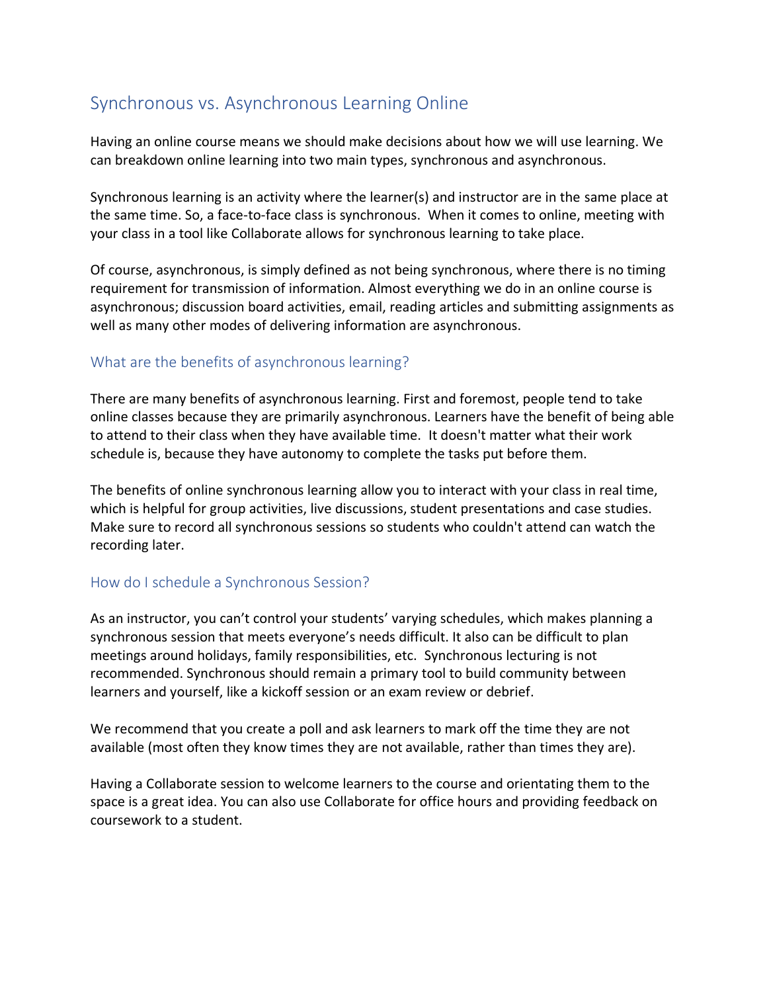## Synchronous vs. Asynchronous Learning Online

Having an online course means we should make decisions about how we will use learning. We can breakdown online learning into two main types, synchronous and asynchronous.

Synchronous learning is an activity where the learner(s) and instructor are in the same place at the same time. So, a face-to-face class is synchronous. When it comes to online, meeting with your class in a tool like Collaborate allows for synchronous learning to take place.

Of course, asynchronous, is simply defined as not being synchronous, where there is no timing requirement for transmission of information. Almost everything we do in an online course is asynchronous; discussion board activities, email, reading articles and submitting assignments as well as many other modes of delivering information are asynchronous.

## What are the benefits of asynchronous learning?

There are many benefits of asynchronous learning. First and foremost, people tend to take online classes because they are primarily asynchronous. Learners have the benefit of being able to attend to their class when they have available time. It doesn't matter what their work schedule is, because they have autonomy to complete the tasks put before them.

The benefits of online synchronous learning allow you to interact with your class in real time, which is helpful for group activities, live discussions, student presentations and case studies. Make sure to record all synchronous sessions so students who couldn't attend can watch the recording later.

## How do I schedule a Synchronous Session?

As an instructor, you can't control your students' varying schedules, which makes planning a synchronous session that meets everyone's needs difficult. It also can be difficult to plan meetings around holidays, family responsibilities, etc. Synchronous lecturing is not recommended. Synchronous should remain a primary tool to build community between learners and yourself, like a kickoff session or an exam review or debrief.

We recommend that you create a poll and ask learners to mark off the time they are not available (most often they know times they are not available, rather than times they are).

Having a Collaborate session to welcome learners to the course and orientating them to the space is a great idea. You can also use Collaborate for office hours and providing feedback on coursework to a student.